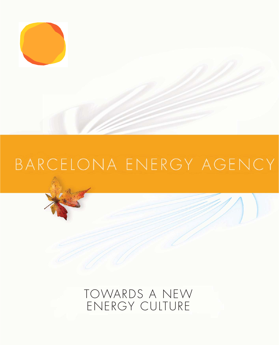

# BARCELONA ENERGY AGENCY

TOWARDS A NEW ENERGY CULTURE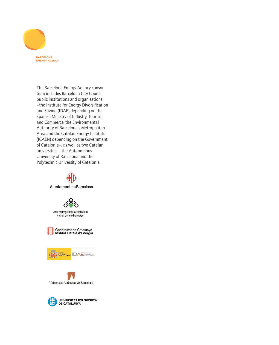

The Barcelona Energy Agency consortium includes Barcelona City Council, public institutions and organisations –the Institute for Energy Diversification and Saving (IDAE) depending on the Spanish Ministry of Industry, Tourism and Commerce, the Environmental Authority of Barcelona's Metropolitan Area and the Catalan Energy Institute (ICAEN) depending on the Government of Catalonia–, as well as two Catalan universities – the Autonomous University of Barcelona and the Polytechnic University of Catalonia.



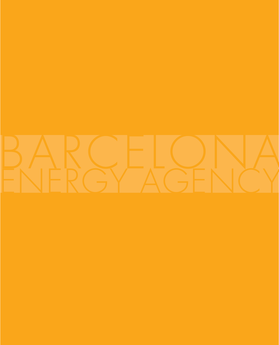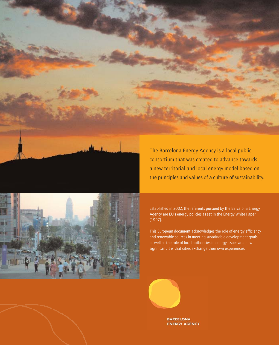



a new territorial and local energy model based on the principles and values of a culture of sustainability.

Established in 2002, the referents pursued by the Barcelona Energy Agency are EU's energy policies as set in the Energy White Paper (1997).

This European document acknowledges the role of energy efficiency and renewable sources in meeting sustainable development goals as well as the role of local authorities in energy issues and how significant it is that cities exchange their own experiences.



**BARCELONA ENERGY AGENCY**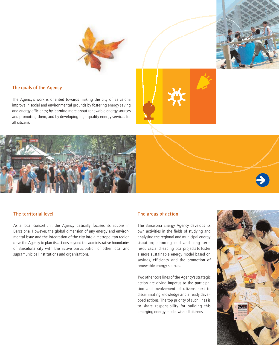



# The goals of the Agency

The Agency's work is oriented towards making the city of Barcelona improve in social and environmental grounds by fostering energy saving and energy efficiency; by learning more about renewable energy sources and promoting them, and by developing high-quality energy services for all citizens.





As a local consortium, the Agency basically focuses its actions in Barcelona. However, the global dimension of any energy and environmental issue and the integration of the city into a metropolitan region drive the Agency to plan its actions beyond the administrative boundaries of Barcelona city with the active participation of other local and supramunicipal institutions and organisations.

### The areas of action

The Barcelona Energy Agency develops its own activities in the fields of studying and analysing the regional and municipal energy situation; planning mid and long term resources, and leading local projects to foster a more sustainable energy model based on savings, efficiency and the promotion of renewable energy sources.

Two other core lines of the Agency's strategic action are giving impetus to the participation and involvement of citizens next to disseminating knowledge and already developed actions. The top priority of such lines is to share responsibility for building this emerging energy model with all citizens.

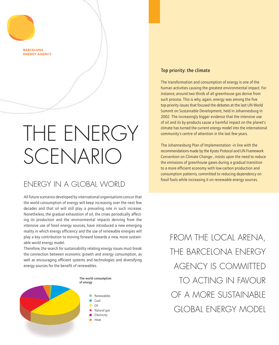

# THE ENERGY SCENARIO

# ENERGY IN A GLOBAL WORLD

All future scenarios developed by international organisations concur that the world consumption of energy will keep increasing over the next few decades and that oil will still play a prevailing role in such increase. Nonetheless, the gradual exhaustion of oil, the crises periodically affecting its production and the environmental impacts deriving from the intensive use of fossil energy sources, have introduced a new emerging reality in which energy efficiency and the use of renewable energies will play a key contribution to moving forward towards a new, more sustainable world energy model.

Therefore, the search for sustainability relating energy issues must break the connection between economic growth and energy consumption, as well as encouraging efficient systems and technologies and diversifying energy sources for the benefit of renewables.



## Top priority: the climate

The transformation and consumption of energy is one of the human activities causing the greatest environmental impact. For instance, around two thirds of all greenhouse gas derive from such process. This is why, again, energy was among the five top-priority issues that focused the debates at the last UN World Summit on Sustainable Development, held in Johannesburg in 2002. The increasingly bigger evidence that the intensive use of oil and its by-products cause a harmful impact on the planet's climate has turned the current energy model into the international community's centre of attention in the last few years.

The Johannesburg Plan of Implementation -in line with the recommendations made by the Kyoto Protocol and UN Framework Convention on Climate Change-, insists upon the need to reduce the emissions of greenhouse gases during a gradual transition to a more efficient economy with low-carbon production and consumption patterns, committed to reducing dependency on fossil fuels while increasing it on renewable energy sources.

FROM THE LOCAL ARENA, THE BARCELONA ENERGY AGENCY IS COMMITTED TO ACTING IN FAVOUR OF A MORE SUSTAINABLE GLOBAL ENERGY MODEL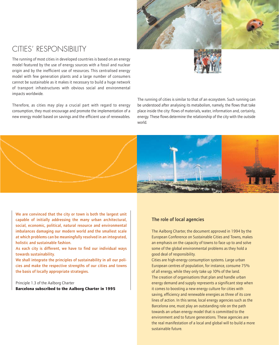

# CITIES' RESPONSIBILITY

The running of most cities in developed countries is based on an energy model featured by the use of energy sources with a fossil and nuclear origin and by the inefficient use of resources. This centralised energy model with few generation plants and a large number of consumers cannot be sustainable as it makes it necessary to build a huge network of transport infrastructures with obvious social and environmental impacts worldwide.

Therefore, as cities may play a crucial part with regard to energy consumption, they must encourage and promote the implementation of a new energy model based on savings and the efficient use of renewables. The running of cities is similar to that of an ecosystem. Such running can be understood after analysing its metabolism, namely, the flows that take place inside the city: flows of materials, water, information and, certainly, energy. These flows determine the relationship of the city with the outside world.



We are convinced that the city or town is both the largest unit capable of initially addressing the many urban architectural, social, economic, political, natural resource and environmental imbalances damaging our modern world and the smallest scale at which problems can be meaningfully resolved in an integrated, holistic and sustainable fashion.

As each city is different, we have to find our individual ways towards sustainability.

We shall integrate the principles of sustainability in all our policies and make the respective strengths of our cities and towns the basis of locally appropriate strategies.

Principle 1.3 of the Aalborg Charter **Barcelona subscribed to the Aalborg Charter in 1995**

# The role of local agencies

The Aalborg Charter, the document approved in 1994 by the European Conference on Sustainable Cities and Towns, makes an emphasis on the capacity of towns to face up to and solve some of the global environmental problems as they hold a good deal of responsibility.

Cities are high-energy consumption systems. Large urban European centres of population, for instance, consume 75% of all energy, while they only take up 10% of the land. The creation of organisations that plan and handle urban energy demand and supply represents a significant step when it comes to boosting a new energy culture for cities with saving, efficiency and renewable energies as three of its core lines of action. In this sense, local energy agencies such as the Barcelona one, must play an outstanding role on the path towards an urban energy model that is committed to the environment and to future generations. These agencies are the real manifestation of a local and global will to build a more sustainable future.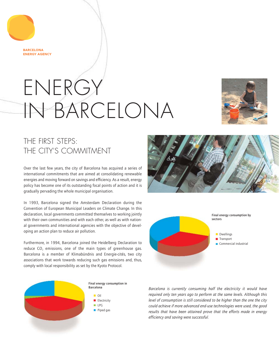**RARCELONA ENERGY AGENCY** 

# ENERGY IN BARCELONA



# THE FIRST STEPS: THE CITY'S COMMITMENT

Over the last few years, the city of Barcelona has acquired a series of international commitments that are aimed at consolidating renewable energies and moving forward on savings and efficiency. As a result, energy policy has become one of its outstanding focal points of action and it is gradually pervading the whole municipal organisation.

In 1993, Barcelona signed the Amsterdam Declaration during the Convention of European Municipal Leaders on Climate Change. In this declaration, local governments committed themselves to working jointly with their own communities and with each other, as well as with national governments and international agencies with the objective of developing an action plan to reduce air pollution.

Furthermore, in 1994, Barcelona joined the Heidelberg Declaration to reduce  $CO<sub>2</sub>$  emissions, one of the main types of greenhouse gas. Barcelona is a member of Klimabündnis and Energie-cités, two city associations that work towards reducing such gas emissions and, thus, comply with local responsibility as set by the Kyoto Protocol.







*Barcelona is currently consuming half the electricity it would have required only ten years ago to perform at the same levels. Although this level of consumption is still considered to be higher than the one the city could achieve if more advanced end-use technologies were used, the good results that have been attained prove that the efforts made in energy efficiency and saving were successful.*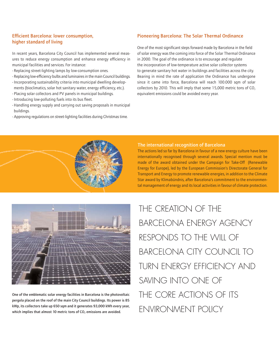# Efficient Barcelona: lower consumption, higher standard of living

In recent years, Barcelona City Council has implemented several measures to reduce energy consumption and enhance energy efficiency in municipal facilities and services. For instance:

- Replacing street-lighting lamps by low-consumption ones.
- Replacing low-efficiency bulbs and luminaires in the main Council buildings. - Incorporating sustainability criteria into municipal dwelling develop-
- ments (bioclimatics, solar hot sanitary water, energy efficiency, etc.). - Placing solar collectors and PV panels in municipal buildings.
- Introducing low-polluting fuels into its bus fleet.
- -Handling energy supply and carrying out saving proposals in municipal buildings.
- Approving regulations on street-lighting facilities during Christmas time.

## Pioneering Barcelona: The Solar Thermal Ordinance

One of the most significant steps forward made by Barcelona in the field of solar energy was the coming into force of the Solar Thermal Ordinance in 2000. The goal of the ordinance is to encourage and regulate the incorporation of low-temperature active solar collector systems to generate sanitary hot water in buildings and facilities across the city. Bearing in mind the rate of application the Ordinance has undergone since it came into force, Barcelona will reach 100.000 sqm of solar collectors by 2010. This will imply that some 15,000 metric tons of  $CO<sub>2</sub>$ equivalent emissions could be avoided every year.



### The international recognition of Barcelona

The actions led so far by Barcelona in favour of a new energy culture have been internationally recognised through several awards. Special mention must be made of the award obtained under the Campaign for Take-Off (Renewable Energy for Europe), led by the European Commission's Directorate General for Transport and Energy to promote renewable energies, in addition to the Climate Star award by Klimabündnis, after Barcelona's commitment to the environmental management of energy and its local activities in favour of climate protection.



One of the emblematic solar energy facilities in Barcelona is the photovoltaic pergola placed on the roof of the main City Council buildings. Its power is 85 kWp, its collectors take up 650 sqm and it generates 93,000 kWh every year, which implies that almost 10 metric tons of  $CO<sub>2</sub>$  emissions are avoided.

THE CREATION OF THE BARCELONA ENERGY AGENCY RESPONDS TO THE WILL OF BARCELONA CITY COUNCIL TO TURN ENERGY EFFICIENCY AND SAVING INTO ONE OF THE CORE ACTIONS OF ITS ENVIRONMENT POLICY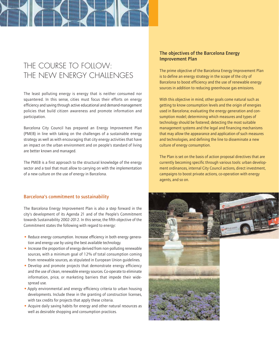# THE COURSE TO FOILOW: THE NEW ENERGY CHALLENGES

The least polluting energy is energy that is neither consumed nor squantered. In this sense, cities must focus their efforts on energy efficiency and saving through active educational and demand-management policies that build citizen awareness and promote information and participation.

Barcelona City Council has prepared an Energy Improvement Plan (PMEB) in line with taking on the challenges of a sustainable energy strategy as well as with encouraging that city energy activities that have an impact on the urban environment and on people's standard of living are better known and managed.

The PMEB is a first approach to the structural knowledge of the energy sector and a tool that must allow to carrying on with the implementation of a new culture on the use of energy in Barcelona.

## Barcelona's commitment to sustainability

The Barcelona Energy Improvement Plan is also a step forward in the city's development of its Agenda 21 and of the People's Commitment towards Sustainability 2002-2012. In this sense, the fifth objective of the Commitment states the following with regard to energy:

- Reduce energy consumption. Increase efficiency in both energy generation and energy use by using the best available technology.
- Increase the proportion of energy derived from non-polluting renewable sources, with a minimum goal of 12% of total consumption coming from renewable sources, as stipulated in European Union guidelines.
- Develop and promote projects that demonstrate energy efficiency and the use of clean, renewable energy sources. Co-operate to eliminate information, price, or marketing barriers that impede their widespread use.
- Apply environmental and energy efficiency criteria to urban housing developments. Include these in the granting of construction licenses, with tax credits for projects that apply these criteria.
- Acquire daily saving habits for energy and other natural resources as well as desirable shopping and consumption practices.

## The objectives of the Barcelona Energy Improvement Plan

The prime objective of the Barcelona Energy Improvement Plan is to define an energy strategy in the scope of the city of Barcelona to boost efficiency and the use of renewable energy sources in addition to reducing greenhouse gas emissions.

With this objective in mind, other goals come natural such as getting to know consumption levels and the origin of energies used in Barcelona; evaluating the energy generation and consumption model; determining which measures and types of technology should be fostered; detecting the most suitable management systems and the legal and financing mechanisms that may allow the appearance and application of such measures and technologies, and defining the line to disseminate a new culture of energy consumption.

The Plan is set on the basis of action proposal directives that are currently becoming specific through various tools: urban development ordinances, internal City Council actions, direct investment, campaigns to boost private actions, co-operation with energy agents, and so on.

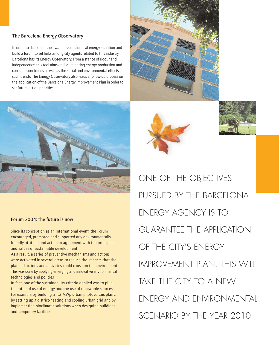## The Barcelona Energy Observatory

In order to deepen in the awareness of the local energy situation and build a forum to set links among city agents related to this industry, Barcelona has its Energy Observatory. From a stance of rigour and independence, this tool aims at disseminating energy production and consumption trends as well as the social and environmental effects of such trends. The Energy Observatory also leads a follow-up process on the application of the Barcelona Energy Improvement Plan in order to set future action priorities.



### Forum 2004: the future is now

Since its conception as an international event, the Forum encouraged, promoted and supported any environmentally friendly attitude and action in agreement with the principles and values of sustainable development.

As a result, a series of preventive mechanisms and actions were activated in several areas to reduce the impacts that the planned actions and activities could cause on the environment. This was done by applying emerging and innovative environmental technologies and policies.

In fact, one of the sustainability criteria applied was to plug the rational use of energy and the use of renewable sources. For example by building a 1.3 MWp urban photovoltaic plant, by setting up a district-heating and cooling urban grid and by implementing bioclimatic solutions when designing buildings and temporary facilities.







ONE OF THE OBJECTIVES PURSUED BY THE BARCELONA ENERGY AGENCY IS TO GUARANTEE THE APPLICATION OF THE CITY'S ENERGY IMPROVEMENT PLAN. THIS WILL TAKE THE CITY TO A NEW ENERGY AND ENVIRONMENTAL SCENARIO BY THE YEAR 2010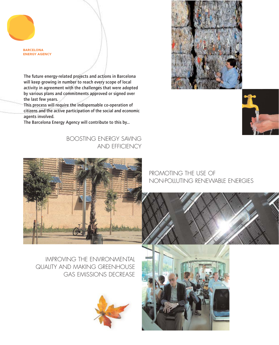**BARCELONA ENERGY AGENCY** 

The future energy-related projects and actions in Barcelona will keep growing in number to reach every scope of local activity in agreement with the challenges that were adopted by various plans and commitments approved or signed over the last few years.

This process will require the indispensable co-operation of citizens and the active participation of the social and economic agents involved.

The Barcelona Energy Agency will contribute to this by...

# BOOSTING ENERGY SAVING AND EFFICIENCY



PROMOTING THE USE OF NON-POLLUTING RENEWABLE ENERGIES

IMPROVING THE ENVIRONMENTAL QUALITY AND MAKING GREENHOUSE GAS EMISSIONS DECREASE









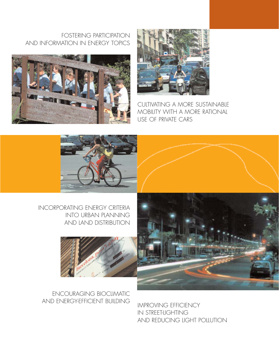# FOSTERING PARTICIPATION AND INFORMATION IN ENERGY TOPICS





CULTIVATING A MORE SUSTAINABLE MOBILITY WITH A MORE RATIONAL USE OF PRIVATE CARS



# INCORPORATING ENERGY CRITERIA INTO URBAN PLANNING AND LAND DISTRIBUTION





# ENCOURAGING BIOCLIMATIC AND ENERGY-EFFICIENT BUILDING MPROVING EFFICIENCY

IN STREET-LIGHTING AND REDUCING LIGHT POLLUTION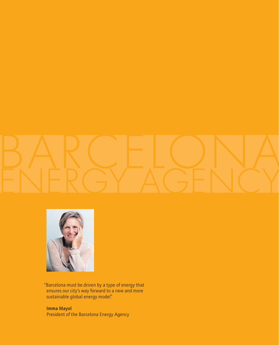



"Barcelona must be driven by a type of energy that ensures our city's way forward to a new and more sustainable global energy model".

Imma Mayol President of the Barcelona Energy Agency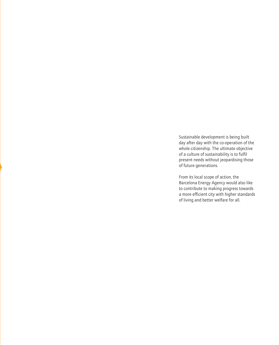Sustainable development is being built day after day with the co-operation of the whole citizenship. The ultimate objective of a culture of sustainability is to fulfil present needs without jeopardising those of future generations.

**Alternative Contracts** 

**Tallet Street Street Street Street Street Street Street Street Street Street Street Street Street Street Street Street Street Street Street Street Street Street Street Street Street Street Street Street Street Street Stre** 

From its local scope of action, the Barcelona Energy Agency would also like to contribute to making progress towards a more efficient city with higher standards of living and better welfare for all.